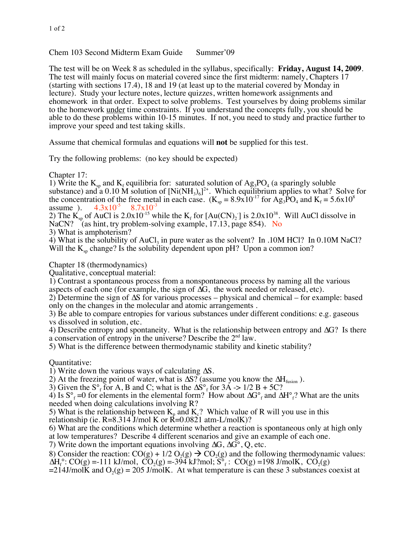Chem 103 Second Midterm Exam Guide Summer'09

The test will be on Week 8 as scheduled in the syllabus, specifically: **Friday, August 14, 2009**. The test will mainly focus on material covered since the first midterm: namely, Chapters 17 (starting with sections 17.4), 18 and 19 (at least up to the material covered by Monday in lecture). Study your lecture notes, lecture quizzes, written homework assignments and ehomework in that order. Expect to solve problems. Test yourselves by doing problems similar to the homework under time constraints. If you understand the concepts fully, you should be able to do these problems within 10-15 minutes. If not, you need to study and practice further to improve your speed and test taking skills.

Assume that chemical formulas and equations will **not** be supplied for this test.

Try the following problems: (no key should be expected)

Chapter 17:

1) Write the  $K_{sp}$  and  $K_f$  equilibria for: saturated solution of  $Ag_3PO_4$  (a sparingly soluble substance) and a 0.10 M solution of  $[Ni(NH_3)_6]^2$ . Which equilibrium applies to what? Solve for the concentration of the free metal in each case.  $(K_{sp} = 8.9x10^{-17}$  for  $Ag_3PO_4$  and  $K_f = 5.6x10^8$ 

assume ).  $4.3 \times 10^{-5}$   $8.7 \times 10^{-3}$ <br>2) The K<sub>sp</sub> of AuCl is 2.0x10<sup>-15</sup> while the K<sub>f</sub> for [Au(CN)<sub>2</sub>] is 2.0x10<sup>38</sup>. Will AuCl dissolve in NaCN? (as hint, try problem-solving example, 17.13, page 854). No

3) What is amphoterism?

4) What is the solubility of  $AuCl<sub>3</sub>$  in pure water as the solvent? In .10M HCl? In 0.10M NaCl? Will the  $K_{\rm sn}$  change? Is the solubility dependent upon pH? Upon a common ion?

Chapter 18 (thermodynamics)

Qualitative, conceptual material:

1) Contrast a spontaneous process from a nonspontaneous process by naming all the various aspects of each one (for example, the sign of  $\Delta G$ , the work needed or released, etc).

2) Determine the sign of  $\Delta S$  for various processes – physical and chemical – for example: based only on the changes in the molecular and atomic arrangements .

3) Be able to compare entropies for various substances under different conditions: e.g. gaseous vs dissolved in solution, etc.

4) Describe entropy and spontaneity. What is the relationship between entropy and  $\Delta G$ ? Is there a conservation of entropy in the universe? Describe the  $2<sup>nd</sup>$  law.

5) What is the difference between thermodynamic stability and kinetic stability?

Quantitative:

1) Write down the various ways of calculating  $\Delta S$ .

2) At the freezing point of water, what is  $\Delta S$ ? (assume you know the  $\Delta H_{fusion}$ ).

3) Given the S<sup>°</sup><sub>f</sub> for A, B and C; what is the  $\Delta S$ <sup>°</sup><sub>f</sub> for 3A -> 1/2 B + 5C?

4) Is  $S^{\circ}$ <sub>f</sub> =0 for elements in the elemental form? How about  $\Delta G^{\circ}$ <sub>f</sub> and  $\Delta H^{\circ}$ <sub>f</sub>? What are the units needed when doing calculations involving R?

5) What is the relationship between  $K_p$  and  $K_c$ ? Which value of R will you use in this relationship (ie.  $R=8.314$  J/mol K or  $R=0.0821$  atm-L/molK)?

6) What are the conditions which determine whether a reaction is spontaneous only at high only at low temperatures? Describe 4 different scenarios and give an example of each one.

7) Write down the important equations involving  $\Delta G$ ,  $\Delta G^{\circ}$ , Q, etc.

8) Consider the reaction:  $CO(g) + 1/2 O_2(g) \rightarrow CO_2(g)$  and the following thermodynamic values:  $\Delta H_f^{\circ}$ : CO(g) =-111 kJ/mol, CO<sub>2</sub>(g) =-394 kJ?mol; S<sup>°</sup><sub>f</sub>: CO(g) =198 J/molK, CO<sub>2</sub>(g)

 $=214$ J/molK and O<sub>2</sub>(g) = 205 J/molK. At what temperature is can these 3 substances coexist at